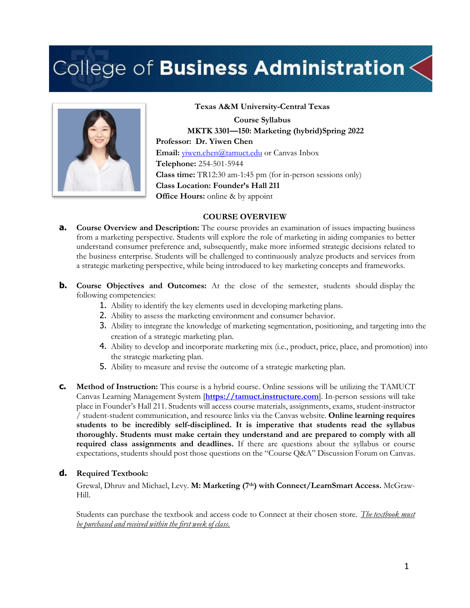# College of Business Administration  $<$



**Texas A&M University-Central Texas Course Syllabus MKTK 3301—150: Marketing (hybrid)Spring 2022 Professor: Dr. Yiwen Chen** Email: *yiwen.chen@tamuct.edu* or Canvas Inbox **Telephone:** 254-501-5944 **Class time:** TR12:30 am-1:45 pm (for in-person sessions only) **Class Location: Founder's Hall 211 Office Hours:** online & by appoint

### **COURSE OVERVIEW**

- **a. Course Overview and Description:** The course provides an examination of issues impacting business from a marketing perspective. Students will explore the role of marketing in aiding companies to better understand consumer preference and, subsequently, make more informed strategic decisions related to the business enterprise. Students will be challenged to continuously analyze products and services from a strategic marketing perspective, while being introduced to key marketing concepts and frameworks.
- **b. Course Objectives and Outcomes:** At the close of the semester, students should display the following competencies:
	- 1. Ability to identify the key elements used in developing marketing plans.
	- 2. Ability to assess the marketing environment and consumer behavior.
	- 3. Ability to integrate the knowledge of marketing segmentation, positioning, and targeting into the creation of a strategic marketing plan.
	- 4. Ability to develop and incorporate marketing mix (i.e., product, price, place, and promotion) into the strategic marketing plan.
	- 5. Ability to measure and revise the outcome of a strategic marketing plan.
- **c. Method of Instruction:** This course is a hybrid course. Online sessions will be utilizing the TAMUCT Canvas Learning Management System [**https://tamuct.instructure.com**]. In-person sessions will take place in Founder's Hall 211. Students will access course materials, assignments, exams, student-instructor / student-student communication, and resource links via the Canvas website. **Online learning requires students to be incredibly self-disciplined. It is imperative that students read the syllabus thoroughly. Students must make certain they understand and are prepared to comply with all required class assignments and deadlines.** If there are questions about the syllabus or course expectations, students should post those questions on the "Course Q&A" Discussion Forum on Canvas.

## **d. Required Textbook:**

Grewal, Dhruv and Michael, Levy. **M: Marketing (7th) with Connect/LearnSmart Access.** McGraw-Hill.

Students can purchase the textbook and access code to Connect at their chosen store. *The textbook must be purchased and received within the first week of class.*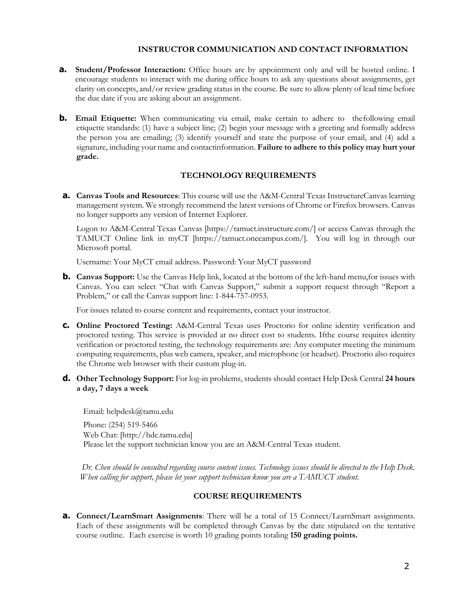## **INSTRUCTOR COMMUNICATION AND CONTACT INFORMATION**

- **a.** Student/Professor Interaction: Office hours are by appointment only and will be hosted online. I encourage students to interact with me during office hours to ask any questions about assignments, get clarity on concepts, and/or review grading status in the course. Be sure to allow plenty of lead time before the due date if you are asking about an assignment.
- **b. Email Etiquette:** When communicating via email, make certain to adhere to the following email etiquette standards: (1) have a subject line; (2) begin your message with a greeting and formally address the person you are emailing; (3) identify yourself and state the purpose of your email, and (4) add a signature, including your name and contactinformation. **Failure to adhere to this policy may hurt your grade.**

# **TECHNOLOGY REQUIREMENTS**

**a. Canvas Tools and Resources**: This course will use the A&M-Central Texas InstructureCanvas learning management system. We strongly recommend the latest versions of Chrome or Firefox browsers. Canvas no longer supports any version of Internet Explorer.

Logon to A&M-Central Texas Canvas [https://tamuct.instructure.com/] or access Canvas through the TAMUCT Online link in myCT [https://tamuct.onecampus.com/]. You will log in through our Microsoft portal.

Username: Your MyCT email address. Password: Your MyCT password

**b. Canvas Support:** Use the Canvas Help link, located at the bottom of the left-hand menu, for issues with Canvas. You can select "Chat with Canvas Support," submit a support request through "Report a Problem," or call the Canvas support line: 1-844-757-0953.

For issues related to course content and requirements, contact your instructor.

- **c. Online Proctored Testing:** A&M-Central Texas uses Proctorio for online identity verification and proctored testing. This service is provided at no direct cost to students. Ifthe course requires identity verification or proctored testing, the technology requirements are: Any computer meeting the minimum computing requirements, plus web camera, speaker, and microphone (or headset). Proctorio also requires the Chrome web browser with their custom plug-in.
- **d. Other Technology Support:** For log-in problems, students should contact Help Desk Central **24 hours a day, 7 days a week**

Email: helpdesk@tamu.edu Phone: (254) 519-5466 Web Chat: [http://hdc.tamu.edu] Please let the support technician know you are an A&M-Central Texas student.

*Dr. Chen should be consulted regarding course content issues. Technology issues should be directed to the Help Desk. When calling for support, please let your support technician know you are a TAMUCT student.*

## **COURSE REQUIREMENTS**

**a. Connect/LearnSmart Assignments**: There will be a total of 15 Connect/LearnSmart assignments. Each of these assignments will be completed through Canvas by the date stipulated on the tentative course outline. Each exercise is worth 10 grading points totaling **150 grading points.**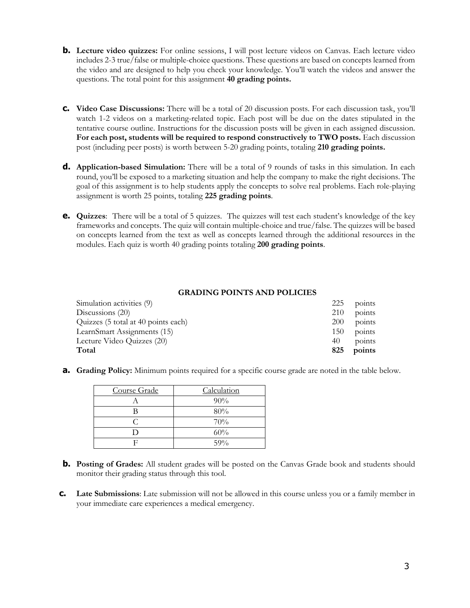- **b.** Lecture video quizzes: For online sessions, I will post lecture videos on Canvas. Each lecture video includes 2-3 true/false or multiple-choice questions. These questions are based on concepts learned from the video and are designed to help you check your knowledge. You'll watch the videos and answer the questions. The total point for this assignment **40 grading points.**
- **c. Video Case Discussions:** There will be a total of 20 discussion posts. For each discussion task, you'll watch 1-2 videos on a marketing-related topic. Each post will be due on the dates stipulated in the tentative course outline. Instructions for the discussion posts will be given in each assigned discussion. **For each post, students will be required to respond constructively to TWO posts.** Each discussion post (including peer posts) is worth between 5-20 grading points, totaling **210 grading points.**
- **d. Application-based Simulation:** There will be a total of 9 rounds of tasks in this simulation. In each round, you'll be exposed to a marketing situation and help the company to make the right decisions. The goal of this assignment is to help students apply the concepts to solve real problems. Each role-playing assignment is worth 25 points, totaling **225 grading points**.
- **e. Quizzes**: There will be a total of 5 quizzes. The quizzes will test each student's knowledge of the key frameworks and concepts. The quiz will contain multiple-choice and true/false. The quizzes will be based on concepts learned from the text as well as concepts learned through the additional resources in the modules. Each quiz is worth 40 grading points totaling **200 grading points**.

## **GRADING POINTS AND POLICIES**

| Simulation activities (9)           | 225 | points |
|-------------------------------------|-----|--------|
| Discussions $(20)$                  | 210 | points |
| Quizzes (5 total at 40 points each) | 200 | points |
| LearnSmart Assignments (15)         | 150 | points |
| Lecture Video Quizzes (20)          | 40  | points |
| Total                               | 825 | points |

**a. Grading Policy:** Minimum points required for a specific course grade are noted in the table below.

| Course Grade | Calculation |
|--------------|-------------|
|              | $90\%$      |
|              | 80%         |
|              | 70%         |
|              | 60%         |
|              | 59%         |

- **b. Posting of Grades:** All student grades will be posted on the Canvas Grade book and students should monitor their grading status through this tool.
- **c. Late Submissions**: Late submission will not be allowed in this course unless you or a family member in your immediate care experiences a medical emergency.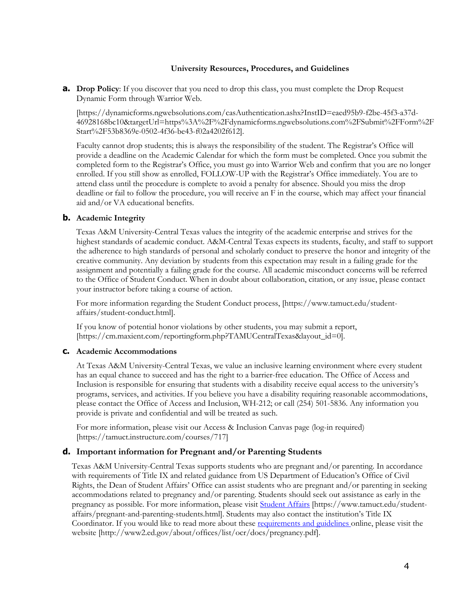#### **University Resources, Procedures, and Guidelines**

**a. Drop Policy**: If you discover that you need to drop this class, you must complete the Drop Request Dynamic Form through Warrior Web.

[https://dynamicforms.ngwebsolutions.com/casAuthentication.ashx?InstID=eaed95b9-f2be-45f3-a37d-46928168bc10&targetUrl=https%3A%2F%2Fdynamicforms.ngwebsolutions.com%2FSubmit%2FForm%2F Start%2F53b8369e-0502-4f36-be43-f02a4202f612].

Faculty cannot drop students; this is always the responsibility of the student. The Registrar's Office will provide a deadline on the Academic Calendar for which the form must be completed. Once you submit the completed form to the Registrar's Office, you must go into Warrior Web and confirm that you are no longer enrolled. If you still show as enrolled, FOLLOW-UP with the Registrar's Office immediately. You are to attend class until the procedure is complete to avoid a penalty for absence. Should you miss the drop deadline or fail to follow the procedure, you will receive an F in the course, which may affect your financial aid and/or VA educational benefits.

#### **b. Academic Integrity**

Texas A&M University-Central Texas values the integrity of the academic enterprise and strives for the highest standards of academic conduct. A&M-Central Texas expects its students, faculty, and staff to support the adherence to high standards of personal and scholarly conduct to preserve the honor and integrity of the creative community. Any deviation by students from this expectation may result in a failing grade for the assignment and potentially a failing grade for the course. All academic misconduct concerns will be referred to the Office of Student Conduct. When in doubt about collaboration, citation, or any issue, please contact your instructor before taking a course of action.

For more information regarding the Student Conduct process, [https://www.tamuct.edu/studentaffairs/student-conduct.html].

If you know of potential honor violations by other students, you may submit a report, [https://cm.maxient.com/reportingform.php?TAMUCentralTexas&layout\_id=0].

#### **c. Academic Accommodations**

At Texas A&M University-Central Texas, we value an inclusive learning environment where every student has an equal chance to succeed and has the right to a barrier-free education. The Office of Access and Inclusion is responsible for ensuring that students with a disability receive equal access to the university's programs, services, and activities. If you believe you have a disability requiring reasonable accommodations, please contact the Office of Access and Inclusion, WH-212; or call (254) 501-5836. Any information you provide is private and confidential and will be treated as such.

For more information, please visit our Access & Inclusion Canvas page (log-in required) [https://tamuct.instructure.com/courses/717]

## **d. Important information for Pregnant and/or Parenting Students**

Texas A&M University-Central Texas supports students who are pregnant and/or parenting. In accordance with requirements of Title IX and related guidance from US Department of Education's Office of Civil Rights, the Dean of Student Affairs' Office can assist students who are pregnant and/or parenting in seeking accommodations related to pregnancy and/or parenting. Students should seek out assistance as early in the pregnancy as possible. For more information, please visit Student Affairs [https://www.tamuct.edu/studentaffairs/pregnant-and-parenting-students.html]. Students may also contact the institution's Title IX Coordinator. If you would like to read more about these requirements and guidelines online, please visit the website [http://www2.ed.gov/about/offices/list/ocr/docs/pregnancy.pdf].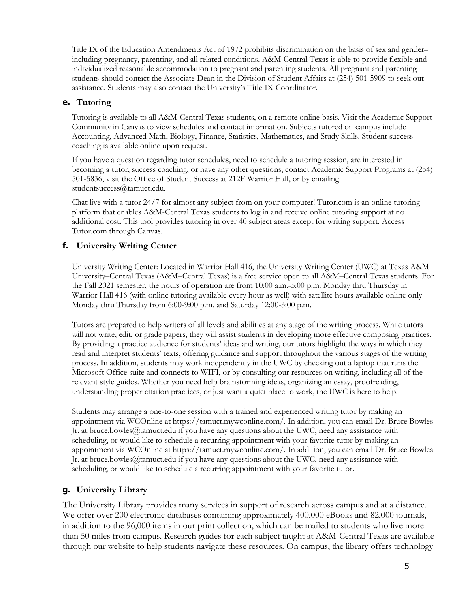Title IX of the Education Amendments Act of 1972 prohibits discrimination on the basis of sex and gender– including pregnancy, parenting, and all related conditions. A&M-Central Texas is able to provide flexible and individualized reasonable accommodation to pregnant and parenting students. All pregnant and parenting students should contact the Associate Dean in the Division of Student Affairs at (254) 501-5909 to seek out assistance. Students may also contact the University's Title IX Coordinator.

# **e. Tutoring**

Tutoring is available to all A&M-Central Texas students, on a remote online basis. Visit the Academic Support Community in Canvas to view schedules and contact information. Subjects tutored on campus include Accounting, Advanced Math, Biology, Finance, Statistics, Mathematics, and Study Skills. Student success coaching is available online upon request.

If you have a question regarding tutor schedules, need to schedule a tutoring session, are interested in becoming a tutor, success coaching, or have any other questions, contact Academic Support Programs at (254) 501-5836, visit the Office of Student Success at 212F Warrior Hall, or by emailing studentsuccess@tamuct.edu.

Chat live with a tutor 24/7 for almost any subject from on your computer! Tutor.com is an online tutoring platform that enables A&M-Central Texas students to log in and receive online tutoring support at no additional cost. This tool provides tutoring in over 40 subject areas except for writing support. Access Tutor.com through Canvas.

# **f. University Writing Center**

University Writing Center: Located in Warrior Hall 416, the University Writing Center (UWC) at Texas A&M University–Central Texas (A&M–Central Texas) is a free service open to all A&M–Central Texas students. For the Fall 2021 semester, the hours of operation are from 10:00 a.m.-5:00 p.m. Monday thru Thursday in Warrior Hall 416 (with online tutoring available every hour as well) with satellite hours available online only Monday thru Thursday from 6:00-9:00 p.m. and Saturday 12:00-3:00 p.m.

Tutors are prepared to help writers of all levels and abilities at any stage of the writing process. While tutors will not write, edit, or grade papers, they will assist students in developing more effective composing practices. By providing a practice audience for students' ideas and writing, our tutors highlight the ways in which they read and interpret students' texts, offering guidance and support throughout the various stages of the writing process. In addition, students may work independently in the UWC by checking out a laptop that runs the Microsoft Office suite and connects to WIFI, or by consulting our resources on writing, including all of the relevant style guides. Whether you need help brainstorming ideas, organizing an essay, proofreading, understanding proper citation practices, or just want a quiet place to work, the UWC is here to help!

Students may arrange a one-to-one session with a trained and experienced writing tutor by making an appointment via WCOnline at https://tamuct.mywconline.com/. In addition, you can email Dr. Bruce Bowles Jr. at bruce.bowles@tamuct.edu if you have any questions about the UWC, need any assistance with scheduling, or would like to schedule a recurring appointment with your favorite tutor by making an appointment via WCOnline at https://tamuct.mywconline.com/. In addition, you can email Dr. Bruce Bowles Jr. at bruce.bowles@tamuct.edu if you have any questions about the UWC, need any assistance with scheduling, or would like to schedule a recurring appointment with your favorite tutor.

# **g. University Library**

The University Library provides many services in support of research across campus and at a distance. We offer over 200 electronic databases containing approximately 400,000 eBooks and 82,000 journals, in addition to the 96,000 items in our print collection, which can be mailed to students who live more than 50 miles from campus. Research guides for each subject taught at A&M-Central Texas are available through our website to help students navigate these resources. On campus, the library offers technology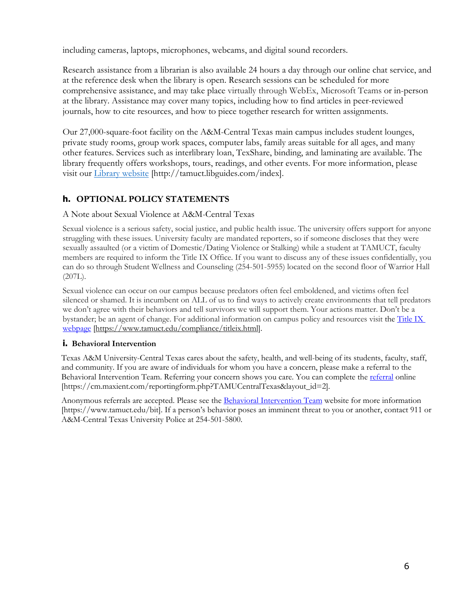including cameras, laptops, microphones, webcams, and digital sound recorders.

Research assistance from a librarian is also available 24 hours a day through our online chat service, and at the reference desk when the library is open. Research sessions can be scheduled for more comprehensive assistance, and may take place virtually through WebEx, Microsoft Teams or in-person at the library. Assistance may cover many topics, including how to find articles in peer-reviewed journals, how to cite resources, and how to piece together research for written assignments.

Our 27,000-square-foot facility on the A&M-Central Texas main campus includes student lounges, private study rooms, group work spaces, computer labs, family areas suitable for all ages, and many other features. Services such as interlibrary loan, TexShare, binding, and laminating are available. The library frequently offers workshops, tours, readings, and other events. For more information, please visit our Library website [http://tamuct.libguides.com/index].

# **h. OPTIONAL POLICY STATEMENTS**

# A Note about Sexual Violence at A&M-Central Texas

Sexual violence is a serious safety, social justice, and public health issue. The university offers support for anyone struggling with these issues. University faculty are mandated reporters, so if someone discloses that they were sexually assaulted (or a victim of Domestic/Dating Violence or Stalking) while a student at TAMUCT, faculty members are required to inform the Title IX Office. If you want to discuss any of these issues confidentially, you can do so through Student Wellness and Counseling (254-501-5955) located on the second floor of Warrior Hall  $(207L)$ .

Sexual violence can occur on our campus because predators often feel emboldened, and victims often feel silenced or shamed. It is incumbent on ALL of us to find ways to actively create environments that tell predators we don't agree with their behaviors and tell survivors we will support them. Your actions matter. Don't be a bystander; be an agent of change. For additional information on campus policy and resources visit the Title IX webpage [https://www.tamuct.edu/compliance/titleix.html].

# **i. Behavioral Intervention**

Texas A&M University-Central Texas cares about the safety, health, and well-being of its students, faculty, staff, and community. If you are aware of individuals for whom you have a concern, please make a referral to the Behavioral Intervention Team. Referring your concern shows you care. You can complete the referral online [https://cm.maxient.com/reportingform.php?TAMUCentralTexas&layout\_id=2].

Anonymous referrals are accepted. Please see the Behavioral Intervention Team website for more information [https://www.tamuct.edu/bit]. If a person's behavior poses an imminent threat to you or another, contact 911 or A&M-Central Texas University Police at 254-501-5800.